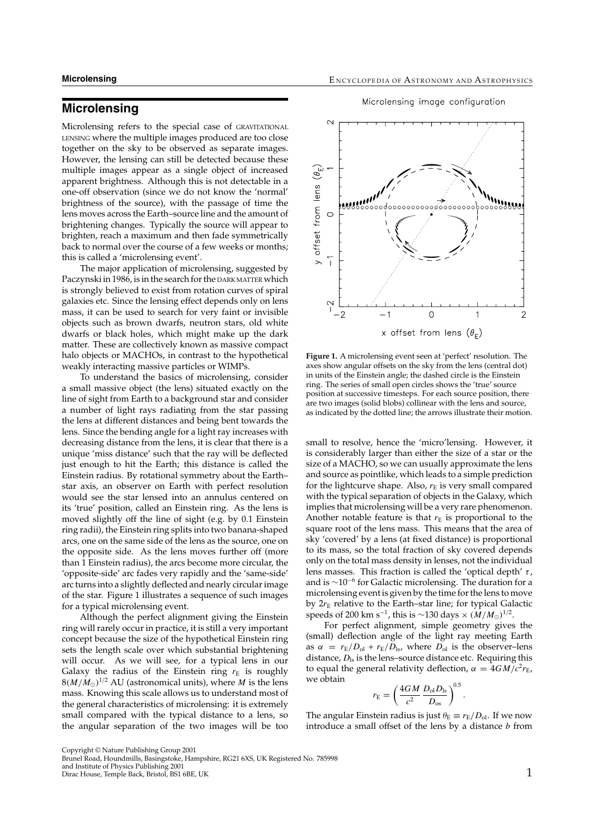# **Microlensing**

Microlensing refers to the special case of GRAVITATIONAL LENSING where the multiple images produced are too close together on the sky to be observed as separate images. However, the lensing can still be detected because these multiple images appear as a single object of increased apparent brightness. Although this is not detectable in a one-off observation (since we do not know the 'normal' brightness of the source), with the passage of time the lens moves across the Earth–source line and the amount of brightening changes. Typically the source will appear to brighten, reach a maximum and then fade symmetrically back to normal over the course of a few weeks or months; this is called a 'microlensing event'.

The major application of microlensing, suggested by Paczynski in 1986, is in the search for the DARK MATTER which is strongly believed to exist from rotation curves of spiral galaxies etc. Since the lensing effect depends only on lens mass, it can be used to search for very faint or invisible objects such as brown dwarfs, neutron stars, old white dwarfs or black holes, which might make up the dark matter. These are collectively known as massive compact halo objects or MACHOs, in contrast to the hypothetical weakly interacting massive particles or WIMPs.

To understand the basics of microlensing, consider a small massive object (the lens) situated exactly on the line of sight from Earth to a background star and consider a number of light rays radiating from the star passing the lens at different distances and being bent towards the lens. Since the bending angle for a light ray increases with decreasing distance from the lens, it is clear that there is a unique 'miss distance' such that the ray will be deflected just enough to hit the Earth; this distance is called the Einstein radius. By rotational symmetry about the Earth– star axis, an observer on Earth with perfect resolution would see the star lensed into an annulus centered on its 'true' position, called an Einstein ring. As the lens is moved slightly off the line of sight (e.g. by 0.1 Einstein ring radii), the Einstein ring splits into two banana-shaped arcs, one on the same side of the lens as the source, one on the opposite side. As the lens moves further off (more than 1 Einstein radius), the arcs become more circular, the 'opposite-side' arc fades very rapidly and the 'same-side' arc turns into a slightly deflected and nearly circular image of the star. Figure 1 illustrates a sequence of such images for a typical microlensing event.

Although the perfect alignment giving the Einstein ring will rarely occur in practice, it is still a very important concept because the size of the hypothetical Einstein ring sets the length scale over which substantial brightening will occur. As we will see, for a typical lens in our Galaxy the radius of the Einstein ring  $r_E$  is roughly  $8(M/M_{\odot})^{1/2}$  AU (astronomical units), where *M* is the lens mass. Knowing this scale allows us to understand most of the general characteristics of microlensing: it is extremely small compared with the typical distance to a lens, so the angular separation of the two images will be too





**Figure 1.** A microlensing event seen at 'perfect' resolution. The axes show angular offsets on the sky from the lens (central dot) in units of the Einstein angle; the dashed circle is the Einstein ring. The series of small open circles shows the 'true' source position at successive timesteps. For each source position, there are two images (solid blobs) collinear with the lens and source, as indicated by the dotted line; the arrows illustrate their motion.

small to resolve, hence the 'micro'lensing. However, it is considerably larger than either the size of a star or the size of a MACHO, so we can usually approximate the lens and source as pointlike, which leads to a simple prediction for the lightcurve shape. Also,  $r_E$  is very small compared with the typical separation of objects in the Galaxy, which implies that microlensing will be a very rare phenomenon. Another notable feature is that  $r_E$  is proportional to the square root of the lens mass. This means that the area of sky 'covered' by a lens (at fixed distance) is proportional to its mass, so the total fraction of sky covered depends only on the total mass density in lenses, not the individual lens masses. This fraction is called the 'optical depth'  $\tau$ , and is  $\sim$ 10<sup>-6</sup> for Galactic microlensing. The duration for a microlensing event is given by the time for the lens to move by  $2r<sub>E</sub>$  relative to the Earth–star line; for typical Galactic speeds of 200 km s<sup>-1</sup>, this is ~130 days ×  $(M/M_{\odot})^{1/2}$ .

For perfect alignment, simple geometry gives the (small) deflection angle of the light ray meeting Earth as  $\alpha = r_E/D_{ol} + r_E/D_{ls}$ , where  $D_{ol}$  is the observer–lens distance,  $D_{\rm ls}$  is the lens–source distance etc. Requiring this to equal the general relativity deflection,  $\alpha = 4GM/c^2r_E$ , we obtain

$$
r_{\rm E} = \left(\frac{4GM}{c^2} \frac{D_{\rm ol} D_{\rm ls}}{D_{\rm os}}\right)^{0.5}
$$

.

The angular Einstein radius is just  $\theta_{\rm E} \equiv r_{\rm E}/D_{\rm ol}$ . If we now introduce a small offset of the lens by a distance  $b$  from

Copyright © Nature Publishing Group 2001 Brunel Road, Houndmills, Basingstoke, Hampshire, RG21 6XS, UK Registered No. 785998

and Institute of Physics Publishing 2001 Dirac House, Temple Back, Bristol, BS1 6BE, UK 1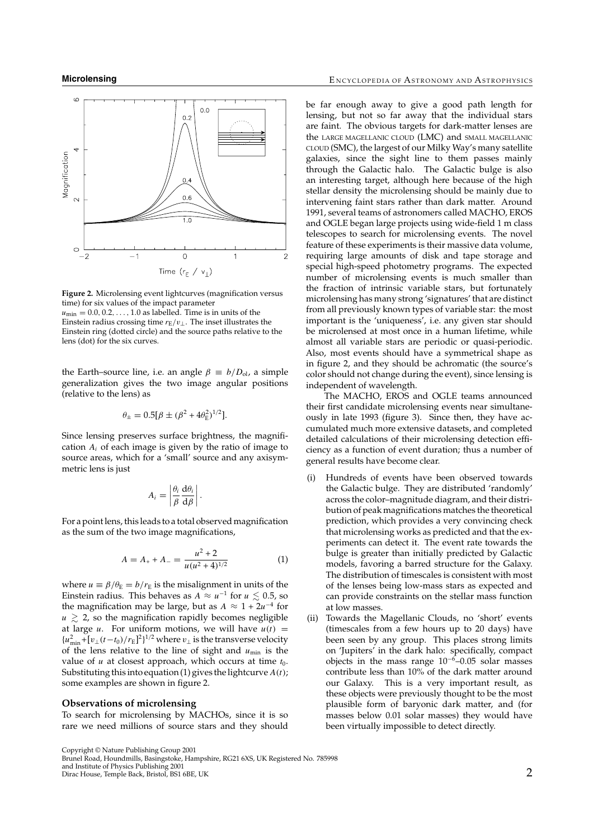

**Figure 2.** Microlensing event lightcurves (magnification versus time) for six values of the impact parameter  $u_{\text{min}} = 0.0, 0.2, \ldots, 1.0$  as labelled. Time is in units of the Einstein radius crossing time  $r_E/v_\perp$ . The inset illustrates the Einstein ring (dotted circle) and the source paths relative to the lens (dot) for the six curves.

the Earth–source line, i.e. an angle  $\beta = b/D_{\rm ol}$ , a simple generalization gives the two image angular positions (relative to the lens) as

$$
\theta_{\pm} = 0.5[\beta \pm (\beta^2 + 4\theta_{\rm E}^2)^{1/2}].
$$

Since lensing preserves surface brightness, the magnification  $A_i$  of each image is given by the ratio of image to source areas, which for a 'small' source and any axisymmetric lens is just

$$
A_i = \left| \frac{\theta_i}{\beta} \frac{\mathrm{d}\theta_i}{\mathrm{d}\beta} \right|.
$$

For a point lens, this leads to a total observed magnification as the sum of the two image magnifications,

$$
A = A_{+} + A_{-} = \frac{u^{2} + 2}{u(u^{2} + 4)^{1/2}}
$$
 (1)

where  $u \equiv \beta/\theta_{\rm E} = b/r_{\rm E}$  is the misalignment in units of the Einstein radius. This behaves as  $A \approx u^{-1}$  for  $u \leq 0.5$ , so the magnification may be large, but as  $A \approx 1 + 2u^{-4}$  for  $u \, \gtrsim$  2, so the magnification rapidly becomes negligible at large *u*. For uniform motions, we will have  $u(t)$  =  ${u_{\min}^2 + [v_{\perp}(t-t_0)/r_{\rm E}]^2}$ <sup>1/2</sup> where  $v_{\perp}$  is the transverse velocity of the lens relative to the line of sight and  $u_{min}$  is the value of  $u$  at closest approach, which occurs at time  $t_0$ . Substituting this into equation (1) gives the lightcurve  $A(t)$ ; some examples are shown in figure 2.

### **Observations of microlensing**

To search for microlensing by MACHOs, since it is so rare we need millions of source stars and they should be far enough away to give a good path length for lensing, but not so far away that the individual stars are faint. The obvious targets for dark-matter lenses are the LARGE MAGELLANIC CLOUD (LMC) and SMALL MAGELLANIC CLOUD (SMC), the largest of our Milky Way's many satellite galaxies, since the sight line to them passes mainly through the Galactic halo. The Galactic bulge is also an interesting target, although here because of the high stellar density the microlensing should be mainly due to intervening faint stars rather than dark matter. Around 1991, several teams of astronomers called MACHO, EROS and OGLE began large projects using wide-field 1 m class telescopes to search for microlensing events. The novel feature of these experiments is their massive data volume, requiring large amounts of disk and tape storage and special high-speed photometry programs. The expected number of microlensing events is much smaller than the fraction of intrinsic variable stars, but fortunately microlensing has many strong 'signatures' that are distinct from all previously known types of variable star: the most important is the 'uniqueness', i.e. any given star should be microlensed at most once in a human lifetime, while almost all variable stars are periodic or quasi-periodic. Also, most events should have a symmetrical shape as in figure 2, and they should be achromatic (the source's color should not change during the event), since lensing is independent of wavelength.

The MACHO, EROS and OGLE teams announced their first candidate microlensing events near simultaneously in late 1993 (figure 3). Since then, they have accumulated much more extensive datasets, and completed detailed calculations of their microlensing detection efficiency as a function of event duration; thus a number of general results have become clear.

- (i) Hundreds of events have been observed towards the Galactic bulge. They are distributed 'randomly' across the color–magnitude diagram, and their distribution of peak magnifications matches the theoretical prediction, which provides a very convincing check that microlensing works as predicted and that the experiments can detect it. The event rate towards the bulge is greater than initially predicted by Galactic models, favoring a barred structure for the Galaxy. The distribution of timescales is consistent with most of the lenses being low-mass stars as expected and can provide constraints on the stellar mass function at low masses.
- (ii) Towards the Magellanic Clouds, no 'short' events (timescales from a few hours up to 20 days) have been seen by any group. This places strong limits on 'Jupiters' in the dark halo: specifically, compact objects in the mass range  $10^{-6}$ –0.05 solar masses contribute less than 10% of the dark matter around our Galaxy. This is a very important result, as these objects were previously thought to be the most plausible form of baryonic dark matter, and (for masses below 0.01 solar masses) they would have been virtually impossible to detect directly.

Copyright © Nature Publishing Group 2001 Brunel Road, Houndmills, Basingstoke, Hampshire, RG21 6XS, UK Registered No. 785998

and Institute of Physics Publishing 2001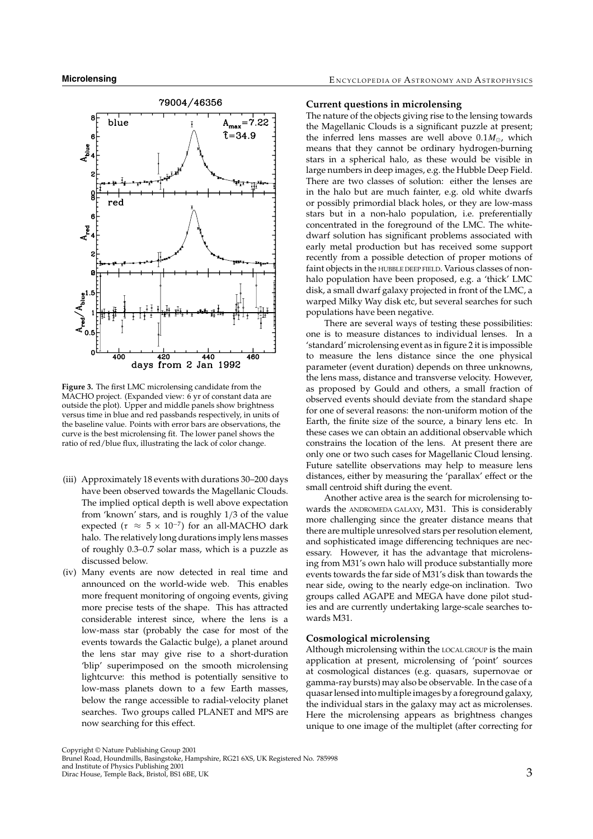

**Figure 3.** The first LMC microlensing candidate from the MACHO project. (Expanded view: 6 yr of constant data are outside the plot). Upper and middle panels show brightness versus time in blue and red passbands respectively, in units of the baseline value. Points with error bars are observations, the curve is the best microlensing fit. The lower panel shows the ratio of red/blue flux, illustrating the lack of color change.

- (iii) Approximately 18 events with durations 30–200 days have been observed towards the Magellanic Clouds. The implied optical depth is well above expectation from 'known' stars, and is roughly 1/3 of the value expected ( $\tau \approx 5 \times 10^{-7}$ ) for an all-MACHO dark halo. The relatively long durations imply lens masses of roughly 0.3–0.7 solar mass, which is a puzzle as discussed below.
- (iv) Many events are now detected in real time and announced on the world-wide web. This enables more frequent monitoring of ongoing events, giving more precise tests of the shape. This has attracted considerable interest since, where the lens is a low-mass star (probably the case for most of the events towards the Galactic bulge), a planet around the lens star may give rise to a short-duration 'blip' superimposed on the smooth microlensing lightcurve: this method is potentially sensitive to low-mass planets down to a few Earth masses, below the range accessible to radial-velocity planet searches. Two groups called PLANET and MPS are now searching for this effect.

#### **Current questions in microlensing**

The nature of the objects giving rise to the lensing towards the Magellanic Clouds is a significant puzzle at present; the inferred lens masses are well above  $0.1M_{\odot}$ , which means that they cannot be ordinary hydrogen-burning stars in a spherical halo, as these would be visible in large numbers in deep images, e.g. the Hubble Deep Field. There are two classes of solution: either the lenses are in the halo but are much fainter, e.g. old white dwarfs or possibly primordial black holes, or they are low-mass stars but in a non-halo population, i.e. preferentially concentrated in the foreground of the LMC. The whitedwarf solution has significant problems associated with early metal production but has received some support recently from a possible detection of proper motions of faint objects in the HUBBLE DEEP FIELD. Various classes of nonhalo population have been proposed, e.g. a 'thick' LMC disk, a small dwarf galaxy projected in front of the LMC, a warped Milky Way disk etc, but several searches for such populations have been negative.

There are several ways of testing these possibilities: one is to measure distances to individual lenses. In a 'standard' microlensing event as in figure 2 it is impossible to measure the lens distance since the one physical parameter (event duration) depends on three unknowns, the lens mass, distance and transverse velocity. However, as proposed by Gould and others, a small fraction of observed events should deviate from the standard shape for one of several reasons: the non-uniform motion of the Earth, the finite size of the source, a binary lens etc. In these cases we can obtain an additional observable which constrains the location of the lens. At present there are only one or two such cases for Magellanic Cloud lensing. Future satellite observations may help to measure lens distances, either by measuring the 'parallax' effect or the small centroid shift during the event.

Another active area is the search for microlensing towards the ANDROMEDA GALAXY, M31. This is considerably more challenging since the greater distance means that there are multiple unresolved stars per resolution element, and sophisticated image differencing techniques are necessary. However, it has the advantage that microlensing from M31's own halo will produce substantially more events towards the far side of M31's disk than towards the near side, owing to the nearly edge-on inclination. Two groups called AGAPE and MEGA have done pilot studies and are currently undertaking large-scale searches towards M31.

## **Cosmological microlensing**

Although microlensing within the LOCAL GROUP is the main application at present, microlensing of 'point' sources at cosmological distances (e.g. quasars, supernovae or gamma-ray bursts) may also be observable. In the case of a quasar lensed into multiple images by a foreground galaxy, the individual stars in the galaxy may act as microlenses. Here the microlensing appears as brightness changes unique to one image of the multiplet (after correcting for

and Institute of Physics Publishing 2001 direction of the Secondary Control of the Secondary Secondary Secondary Secondary Secondary Secondary Secondary S<br>3

Copyright © Nature Publishing Group 2001 Brunel Road, Houndmills, Basingstoke, Hampshire, RG21 6XS, UK Registered No. 785998